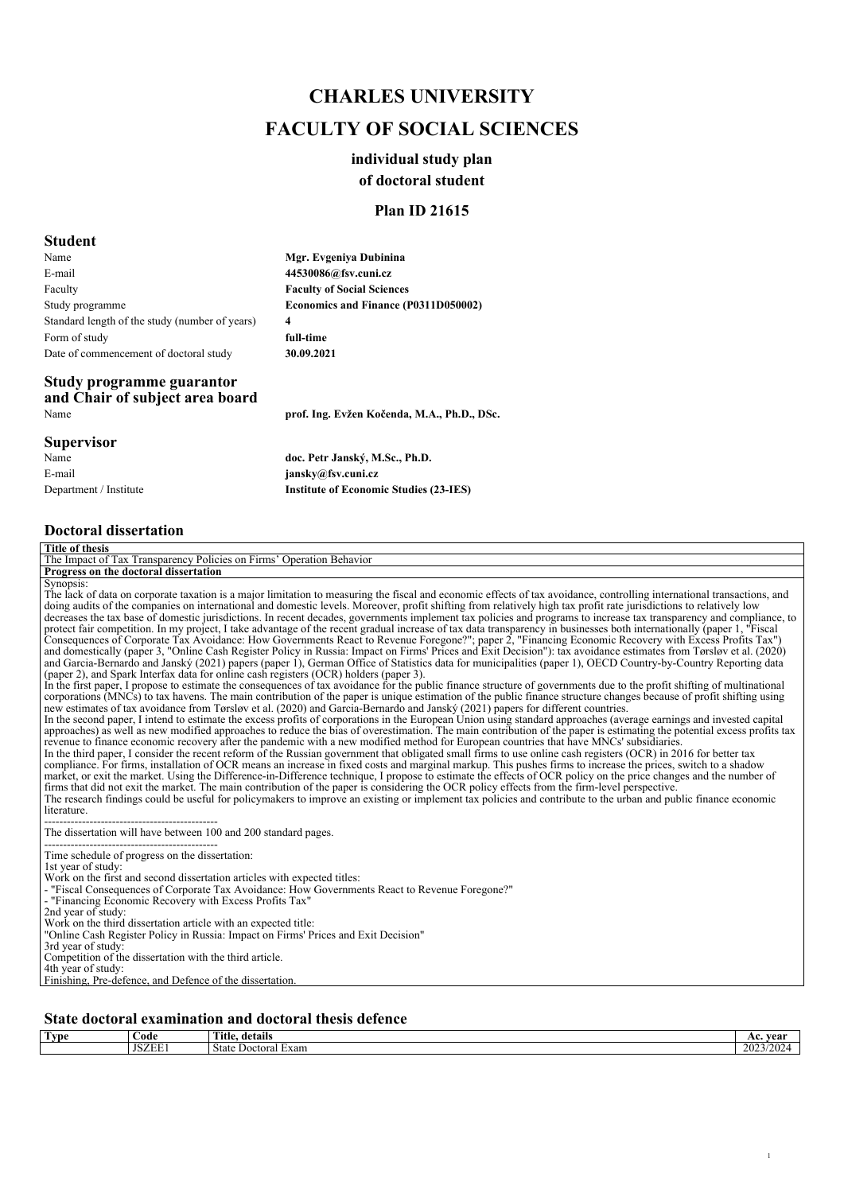# *CHARLES UNIVERSITY FACULTY OF SOCIAL SCIENCES*

## *individual study plan*

### *of doctoral student*

## *Plan ID 21615*

### *Student*

*Name E-mail Faculty Study programme Standard length of the study (number of years) Form of study Date of commencement of doctoral study Mgr. Evgeniya Dubinina 4 30.09.2021*

*44530086@fsv.cuni.cz Faculty of Social Sciences Economics and Finance (P0311D050002) full-time*

*Name prof. Ing. Evžen Kočenda, M.A., Ph.D., DSc.*

## *Study programme guarantor and Chair of subject area board*

*Supervisor Name E-mail Department / Institute doc. Petr Janský, M.Sc., Ph.D. jansky@fsv.cuni.cz Institute of Economic Studies (23-IES)*

*Doctoral dissertation*

| <b>Title of thesis</b>                                                                                                                                                                                                                                                                                                                                                                                                                                                                                                                                                                                                                                                                                                                                                                                                                                                                                                                                                                                                                                                                                                                                                                                                                                                                                                                                                                                                                                                                                                                                                                                                                                                                                                                                                                                                                                                                                                                                                                                                                                                                                                                                                                                                                                                                                                                                                                                                                                                                                                                                                                                                                                                                                                                                                                                                                                                                                                                                                                                                                                                                                                            |
|-----------------------------------------------------------------------------------------------------------------------------------------------------------------------------------------------------------------------------------------------------------------------------------------------------------------------------------------------------------------------------------------------------------------------------------------------------------------------------------------------------------------------------------------------------------------------------------------------------------------------------------------------------------------------------------------------------------------------------------------------------------------------------------------------------------------------------------------------------------------------------------------------------------------------------------------------------------------------------------------------------------------------------------------------------------------------------------------------------------------------------------------------------------------------------------------------------------------------------------------------------------------------------------------------------------------------------------------------------------------------------------------------------------------------------------------------------------------------------------------------------------------------------------------------------------------------------------------------------------------------------------------------------------------------------------------------------------------------------------------------------------------------------------------------------------------------------------------------------------------------------------------------------------------------------------------------------------------------------------------------------------------------------------------------------------------------------------------------------------------------------------------------------------------------------------------------------------------------------------------------------------------------------------------------------------------------------------------------------------------------------------------------------------------------------------------------------------------------------------------------------------------------------------------------------------------------------------------------------------------------------------------------------------------------------------------------------------------------------------------------------------------------------------------------------------------------------------------------------------------------------------------------------------------------------------------------------------------------------------------------------------------------------------------------------------------------------------------------------------------------------------|
| The Impact of Tax Transparency Policies on Firms' Operation Behavior                                                                                                                                                                                                                                                                                                                                                                                                                                                                                                                                                                                                                                                                                                                                                                                                                                                                                                                                                                                                                                                                                                                                                                                                                                                                                                                                                                                                                                                                                                                                                                                                                                                                                                                                                                                                                                                                                                                                                                                                                                                                                                                                                                                                                                                                                                                                                                                                                                                                                                                                                                                                                                                                                                                                                                                                                                                                                                                                                                                                                                                              |
| Progress on the doctoral dissertation                                                                                                                                                                                                                                                                                                                                                                                                                                                                                                                                                                                                                                                                                                                                                                                                                                                                                                                                                                                                                                                                                                                                                                                                                                                                                                                                                                                                                                                                                                                                                                                                                                                                                                                                                                                                                                                                                                                                                                                                                                                                                                                                                                                                                                                                                                                                                                                                                                                                                                                                                                                                                                                                                                                                                                                                                                                                                                                                                                                                                                                                                             |
| Synopsis:<br>The lack of data on corporate taxation is a major limitation to measuring the fiscal and economic effects of tax avoidance, controlling international transactions, and<br>doing audits of the companies on international and domestic levels. Moreover, profit shifting from relatively high tax profit rate jurisdictions to relatively low<br>decreases the tax base of domestic jurisdictions. In recent decades, governments implement tax policies and programs to increase tax transparency and compliance, to<br>protect fair competition. In my project, I take advantage of the recent gradual increase of tax data transparency in businesses both internationally (paper 1, "Fiscal<br>Consequences of Corporate Tax Avoidance: How Governments React to Revenue Foregone?"; paper 2, "Financing Economic Recovery with Excess Profits Tax")<br>and domestically (paper 3, "Online Cash Register Policy in Russia: Impact on Firms' Prices and Exit Decision"): tax avoidance estimates from Tørsløy et al. (2020)<br>and Garcia-Bernardo and Janský (2021) papers (paper 1), German Office of Statistics data for municipalities (paper 1), OECD Country-by-Country Reporting data<br>(paper 2), and Spark Interfax data for online cash registers (OCR) holders (paper 3).<br>In the first paper, I propose to estimate the consequences of tax avoidance for the public finance structure of governments due to the profit shifting of multinational<br>corporations (MNCs) to tax havens. The main contribution of the paper is unique estimation of the public finance structure changes because of profit shifting using<br>new estimates of tax avoidance from Tørsløv et al. (2020) and Garcia-Bernardo and Janský (2021) papers for different countries.<br>In the second paper, I intend to estimate the excess profits of corporations in the European Union using standard approaches (average earnings and invested capital<br>approaches) as well as new modified approaches to reduce the bias of overestimation. The main contribution of the paper is estimating the potential excess profits tax<br>revenue to finance economic recovery after the pandemic with a new modified method for European countries that have MNCs' subsidiaries.<br>In the third paper, I consider the recent reform of the Russian government that obligated small firms to use online cash registers (OCR) in 2016 for better tax<br>compliance. For firms, installation of OCR means an increase in fixed costs and marginal markup. This pushes firms to increase the prices, switch to a shadow<br>market, or exit the market. Using the Difference-in-Difference technique, I propose to estimate the effects of OCR policy on the price changes and the number of<br>firms that did not exit the market. The main contribution of the paper is considering the OCR policy effects from the firm-level perspective.<br>The research findings could be useful for policymakers to improve an existing or implement tax policies and contribute to the urban and public finance economic<br>literature. |
| The dissertation will have between 100 and 200 standard pages.                                                                                                                                                                                                                                                                                                                                                                                                                                                                                                                                                                                                                                                                                                                                                                                                                                                                                                                                                                                                                                                                                                                                                                                                                                                                                                                                                                                                                                                                                                                                                                                                                                                                                                                                                                                                                                                                                                                                                                                                                                                                                                                                                                                                                                                                                                                                                                                                                                                                                                                                                                                                                                                                                                                                                                                                                                                                                                                                                                                                                                                                    |
| Time schedule of progress on the dissertation:<br>1st year of study:<br>Work on the first and second dissertation articles with expected titles:<br>- "Fiscal Consequences of Corporate Tax Avoidance: How Governments React to Revenue Foregone?"<br>- "Financing Economic Recovery with Excess Profits Tax"<br>2nd year of study:<br>Work on the third dissertation article with an expected title:<br>"Online Cash Register Policy in Russia: Impact on Firms' Prices and Exit Decision"<br>3rd year of study:<br>Competition of the dissertation with the third article.<br>4th year of study:<br>Finishing, Pre-defence, and Defence of the dissertation.                                                                                                                                                                                                                                                                                                                                                                                                                                                                                                                                                                                                                                                                                                                                                                                                                                                                                                                                                                                                                                                                                                                                                                                                                                                                                                                                                                                                                                                                                                                                                                                                                                                                                                                                                                                                                                                                                                                                                                                                                                                                                                                                                                                                                                                                                                                                                                                                                                                                    |

### *State doctoral examination and doctoral thesis defence*

| Type | Code                    | <b>CONSTITUTION</b><br><b>Title</b><br>. details | <b>1001</b><br>'са<br>м           |
|------|-------------------------|--------------------------------------------------|-----------------------------------|
|      | <b>ICZEL</b><br>нн<br>. | State<br>Doctoral<br>Exam                        | 202200<br>ZUZ<br>. . <i>. .</i> . |
|      |                         |                                                  |                                   |

*1*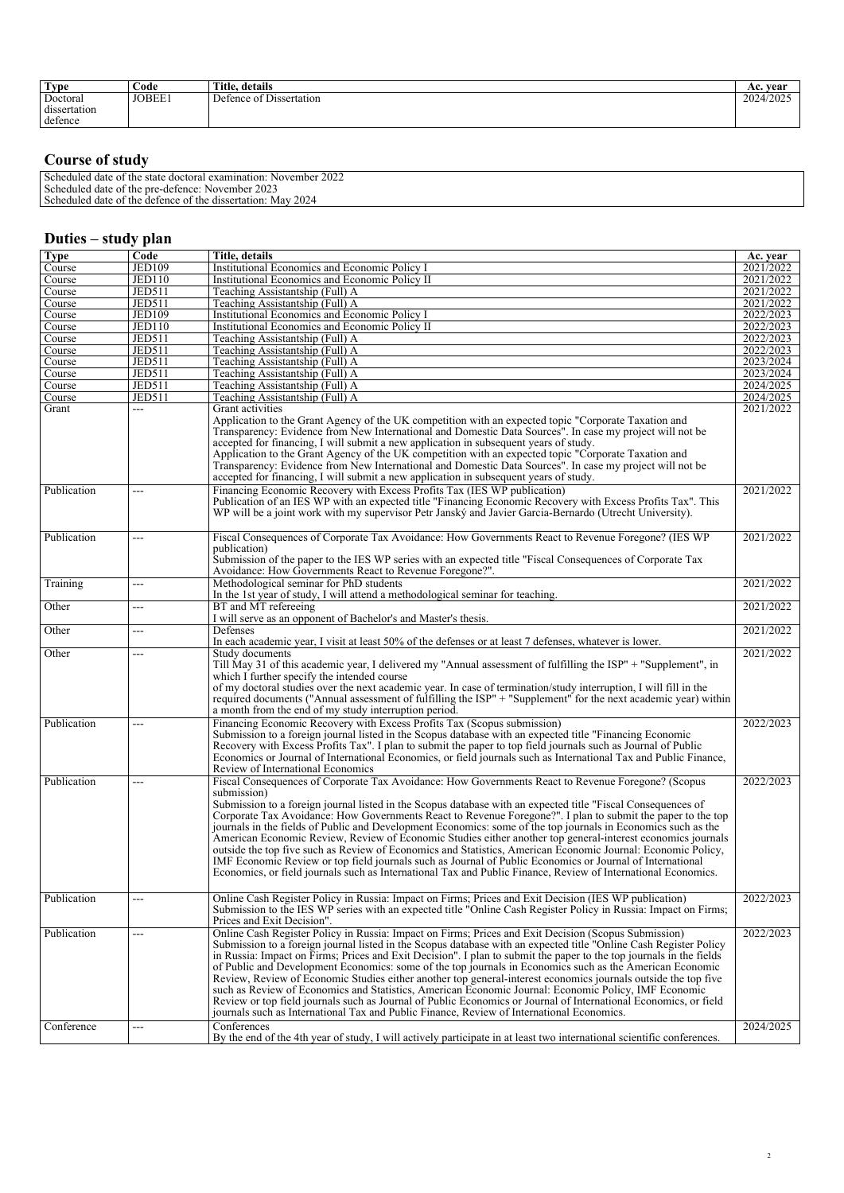| <b>Type</b>                         | Code   | Title, details                                  | vear<br>AC. |
|-------------------------------------|--------|-------------------------------------------------|-------------|
| Doctoral<br>dissertation<br>defence | JOBEE1 | $\sim$ $\sim$ $\sim$<br>Defence of Dissertation | 2024/2025   |

## *Course of study*

| 2022<br>examin<br>November.<br>Schedule <sub>u</sub><br>the<br>state<br>. doctoral ex<br>tion<br>l date |  |
|---------------------------------------------------------------------------------------------------------|--|
| 2023<br>Scheduled date of<br>the pre-<br>November<br>edefence.                                          |  |
| 2024<br>Scheduled<br>`the<br>Mav<br>dissertation:<br>, date<br>defence<br>of the                        |  |
|                                                                                                         |  |

## *Duties – study plan*

| <b>Type</b>               | Code          | Title, details                                                                                                                                                                                                                                                                                                                                                                                                                                                                                                                                                                                                                                                                                                                                                                                                                                                                                                         | Ac. year               |
|---------------------------|---------------|------------------------------------------------------------------------------------------------------------------------------------------------------------------------------------------------------------------------------------------------------------------------------------------------------------------------------------------------------------------------------------------------------------------------------------------------------------------------------------------------------------------------------------------------------------------------------------------------------------------------------------------------------------------------------------------------------------------------------------------------------------------------------------------------------------------------------------------------------------------------------------------------------------------------|------------------------|
| Course                    | <b>JED109</b> | Institutional Economics and Economic Policy I                                                                                                                                                                                                                                                                                                                                                                                                                                                                                                                                                                                                                                                                                                                                                                                                                                                                          | 2021/2022              |
| Course                    | <b>JED110</b> | Institutional Economics and Economic Policy II                                                                                                                                                                                                                                                                                                                                                                                                                                                                                                                                                                                                                                                                                                                                                                                                                                                                         | 2021/2022              |
| Course                    | <b>JED511</b> | Teaching Assistantship (Full) A                                                                                                                                                                                                                                                                                                                                                                                                                                                                                                                                                                                                                                                                                                                                                                                                                                                                                        | 2021/2022              |
| Course                    | <b>JED511</b> | Teaching Assistantship (Full) A                                                                                                                                                                                                                                                                                                                                                                                                                                                                                                                                                                                                                                                                                                                                                                                                                                                                                        | 2021/2022              |
| Course                    | <b>JED109</b> | Institutional Economics and Economic Policy I                                                                                                                                                                                                                                                                                                                                                                                                                                                                                                                                                                                                                                                                                                                                                                                                                                                                          | 2022/2023              |
|                           | JED110        | Institutional Economics and Economic Policy II                                                                                                                                                                                                                                                                                                                                                                                                                                                                                                                                                                                                                                                                                                                                                                                                                                                                         | 2022/2023              |
| Course                    |               |                                                                                                                                                                                                                                                                                                                                                                                                                                                                                                                                                                                                                                                                                                                                                                                                                                                                                                                        | 2022/2023              |
| Course                    | <b>JED511</b> | Teaching Assistantship (Full) A                                                                                                                                                                                                                                                                                                                                                                                                                                                                                                                                                                                                                                                                                                                                                                                                                                                                                        |                        |
| Course                    | <b>JED511</b> | Teaching Assistantship (Full) A                                                                                                                                                                                                                                                                                                                                                                                                                                                                                                                                                                                                                                                                                                                                                                                                                                                                                        | 2022/2023              |
| Course                    | <b>JED511</b> | Teaching Assistantship (Full) A                                                                                                                                                                                                                                                                                                                                                                                                                                                                                                                                                                                                                                                                                                                                                                                                                                                                                        | 2023/2024              |
| Course                    | <b>JED511</b> | Teaching Assistantship (Full) A                                                                                                                                                                                                                                                                                                                                                                                                                                                                                                                                                                                                                                                                                                                                                                                                                                                                                        | 2023/2024              |
| Course                    | <b>JED511</b> | Teaching Assistantship (Full) A                                                                                                                                                                                                                                                                                                                                                                                                                                                                                                                                                                                                                                                                                                                                                                                                                                                                                        | 2024/2025              |
| Course                    | <b>JED511</b> | Teaching Assistantship (Full) A                                                                                                                                                                                                                                                                                                                                                                                                                                                                                                                                                                                                                                                                                                                                                                                                                                                                                        | 2024/2025              |
| Grant                     | ---           | Grant activities<br>Application to the Grant Agency of the UK competition with an expected topic "Corporate Taxation and<br>Transparency: Evidence from New International and Domestic Data Sources". In case my project will not be<br>accepted for financing, I will submit a new application in subsequent years of study.<br>Application to the Grant Agency of the UK competition with an expected topic "Corporate Taxation and<br>Transparency: Evidence from New International and Domestic Data Sources". In case my project will not be<br>accepted for financing, I will submit a new application in subsequent years of study.                                                                                                                                                                                                                                                                             | 2021/2022              |
| Publication               | ---           | Financing Economic Recovery with Excess Profits Tax (IES WP publication)<br>Publication of an IES WP with an expected title "Financing Economic Recovery with Excess Profits Tax". This<br>WP will be a joint work with my supervisor Petr Janský and Javier Garcia-Bernardo (Utrecht University).                                                                                                                                                                                                                                                                                                                                                                                                                                                                                                                                                                                                                     | 2021/2022              |
| Publication               | ---           | Fiscal Consequences of Corporate Tax Avoidance: How Governments React to Revenue Foregone? (IES WP                                                                                                                                                                                                                                                                                                                                                                                                                                                                                                                                                                                                                                                                                                                                                                                                                     | 2021/2022              |
|                           |               | publication)<br>Submission of the paper to the IES WP series with an expected title "Fiscal Consequences of Corporate Tax<br>Avoidance: How Governments React to Revenue Foregone?".                                                                                                                                                                                                                                                                                                                                                                                                                                                                                                                                                                                                                                                                                                                                   |                        |
| Training                  | ---           | Methodological seminar for PhD students<br>In the 1st year of study, I will attend a methodological seminar for teaching.                                                                                                                                                                                                                                                                                                                                                                                                                                                                                                                                                                                                                                                                                                                                                                                              | 2021/2022              |
| Other                     | ---           | BT and MT refereeing<br>I will serve as an opponent of Bachelor's and Master's thesis.                                                                                                                                                                                                                                                                                                                                                                                                                                                                                                                                                                                                                                                                                                                                                                                                                                 | 2021/2022              |
| Other                     | ---           | Defenses<br>In each academic year, I visit at least 50% of the defenses or at least 7 defenses, whatever is lower.                                                                                                                                                                                                                                                                                                                                                                                                                                                                                                                                                                                                                                                                                                                                                                                                     | 2021/2022              |
| Other                     | ---           | Study documents                                                                                                                                                                                                                                                                                                                                                                                                                                                                                                                                                                                                                                                                                                                                                                                                                                                                                                        | 2021/2022              |
|                           |               | Till May 31 of this academic year, I delivered my "Annual assessment of fulfilling the ISP" + "Supplement", in<br>which I further specify the intended course<br>of my doctoral studies over the next academic year. In case of termination/study interruption, I will fill in the<br>required documents ("Annual assessment of fulfilling the ISP" + "Supplement" for the next academic year) within<br>a month from the end of my study interruption period.                                                                                                                                                                                                                                                                                                                                                                                                                                                         |                        |
| Publication               | ---           | Financing Economic Recovery with Excess Profits Tax (Scopus submission)                                                                                                                                                                                                                                                                                                                                                                                                                                                                                                                                                                                                                                                                                                                                                                                                                                                | 2022/2023              |
|                           |               | Submission to a foreign journal listed in the Scopus database with an expected title "Financing Economic<br>Recovery with Excess Profits Tax". I plan to submit the paper to top field journals such as Journal of Public<br>Economics or Journal of International Economics, or field journals such as International Tax and Public Finance,<br>Review of International Economics                                                                                                                                                                                                                                                                                                                                                                                                                                                                                                                                     |                        |
| Publication               | ---           | Fiscal Consequences of Corporate Tax Avoidance: How Governments React to Revenue Foregone? (Scopus                                                                                                                                                                                                                                                                                                                                                                                                                                                                                                                                                                                                                                                                                                                                                                                                                     | 2022/2023              |
|                           |               | submission)<br>Submission to a foreign journal listed in the Scopus database with an expected title "Fiscal Consequences of<br>Corporate Tax Avoidance: How Governments React to Revenue Foregone?". I plan to submit the paper to the top<br>journals in the fields of Public and Development Economics: some of the top journals in Economics such as the<br>American Economic Review, Review of Economic Studies either another top general-interest economics journals<br>outside the top five such as Review of Economics and Statistics, American Économic Journal: Economic Policy,<br>IMF Economic Review or top field journals such as Journal of Public Economics or Journal of International<br>Economics, or field journals such as International Tax and Public Finance, Review of International Economics.                                                                                               |                        |
| Publication               | ---           | Online Cash Register Policy in Russia: Impact on Firms; Prices and Exit Decision (IES WP publication)<br>Submission to the IES WP series with an expected title "Online Cash Register Policy in Russia: Impact on Firms;<br>Prices and Exit Decision".                                                                                                                                                                                                                                                                                                                                                                                                                                                                                                                                                                                                                                                                 | 2022/2023              |
| Publication<br>Conference | ---<br>---    | Online Cash Register Policy in Russia: Impact on Firms; Prices and Exit Decision (Scopus Submission)<br>Submission to a foreign journal listed in the Scopus database with an expected title "Online Cash Register Policy<br>in Russia: Impact on Firms; Prices and Exit Decision". I plan to submit the paper to the top journals in the fields<br>of Public and Development Economics: some of the top journals in Economics such as the American Economic<br>Review, Review of Economic Studies either another top general-interest economics journals outside the top five<br>such as Review of Economics and Statistics, American Economic Journal: Economic Policy, IMF Economic<br>Review or top field journals such as Journal of Public Economics or Journal of International Economics, or field<br>journals such as International Tax and Public Finance, Review of International Economics.<br>Conferences | 2022/2023<br>2024/2025 |
|                           |               | By the end of the 4th year of study, I will actively participate in at least two international scientific conferences.                                                                                                                                                                                                                                                                                                                                                                                                                                                                                                                                                                                                                                                                                                                                                                                                 |                        |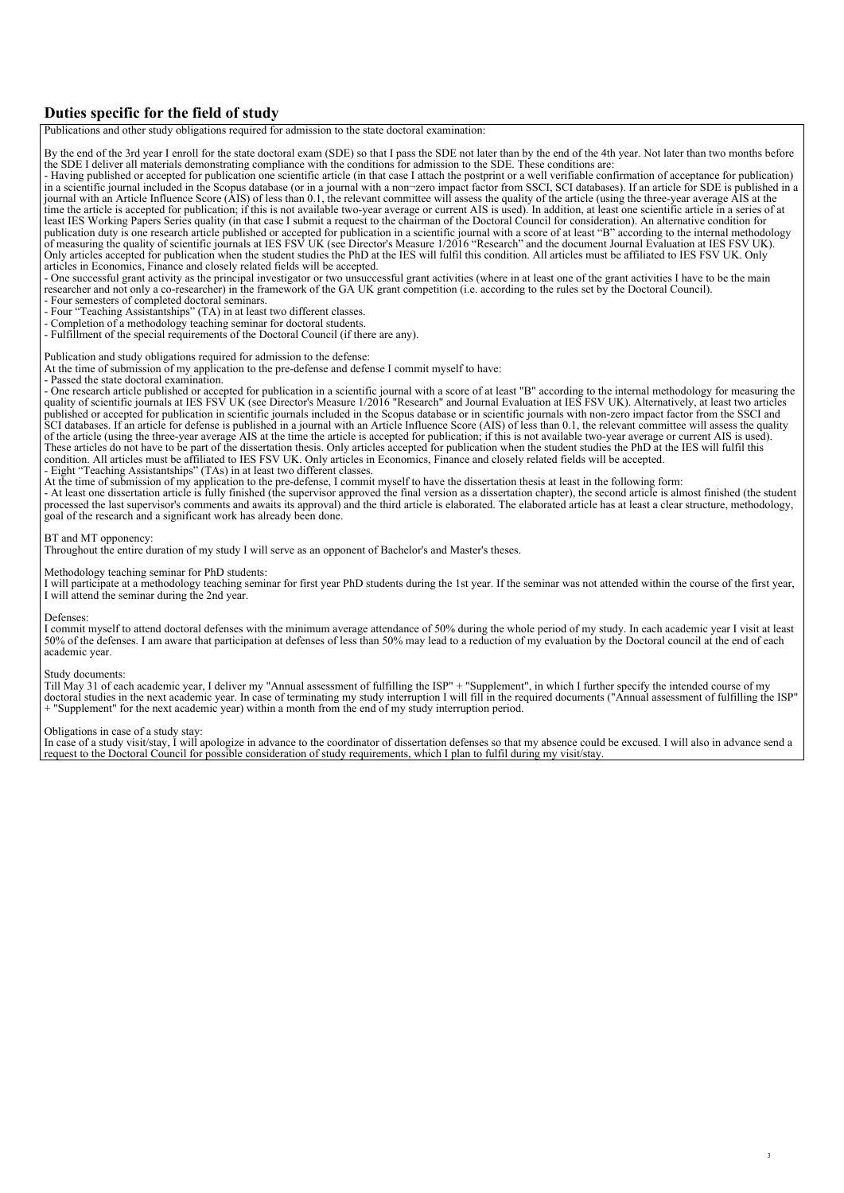### *Duties specific for the field of study*

*Publications and other study obligations required for admission to the state doctoral examination: By the end of the 3rd year I enroll for the state doctoral exam (SDE) so that I pass the SDE not later than by the end of the 4th year. Not later than two months before the SDE I deliver all materials demonstrating compliance with the conditions for admission to the SDE. These conditions are: - Having published or accepted for publication one scientific article (in that case I attach the postprint or a well verifiable confirmation of acceptance for publication) in a scientific journal included in the Scopus database (or in a journal with a non¬zero impact factor from SSCI, SCI databases). If an article for SDE is published in a journal with an Article Influence Score (AIS) of less than 0.1, the relevant committee will assess the quality of the article (using the three-year average AIS at the time the article is accepted for publication; if this is not available two-year average or current AIS is used). In addition, at least one scientific article in a series of at least IES Working Papers Series quality (in that case I submit a request to the chairman of the Doctoral Council for consideration). An alternative condition for publication duty is one research article published or accepted for publication in a scientific journal with a score of at least "B" according to the internal methodology of measuring the quality of scientific journals at IES FSV UK (see Director's Measure 1/2016 "Research" and the document Journal Evaluation at IES FSV UK). Only articles accepted for publication when the student studies the PhD at the IES will fulfil this condition. All articles must be affiliated to IES FSV UK. Only articles in Economics, Finance and closely related fields will be accepted. - One successful grant activity as the principal investigator or two unsuccessful grant activities (where in at least one of the grant activities I have to be the main researcher and not only a co-researcher) in the framework of the GA UK grant competition (i.e. according to the rules set by the Doctoral Council). - Four semesters of completed doctoral seminars.*

- *Four "Teaching Assistantships" (TA) in at least two different classes.*
- *Completion of a methodology teaching seminar for doctoral students.*
- *Fulfillment of the special requirements of the Doctoral Council (if there are any).*

#### *Publication and study obligations required for admission to the defense:*

- *At the time of submission of my application to the pre-defense and defense I commit myself to have:*
- *Passed the state doctoral examination.*

*- One research article published or accepted for publication in a scientific journal with a score of at least "B" according to the internal methodology for measuring the quality of scientific journals at IES FSV UK (see Director's Measure 1/2016 "Research" and Journal Evaluation at IES FSV UK). Alternatively, at least two articles published or accepted for publication in scientific journals included in the Scopus database or in scientific journals with non-zero impact factor from the SSCI and SCI databases. If an article for defense is published in a journal with an Article Influence Score (AIS) of less than 0.1, the relevant committee will assess the quality of the article (using the three-year average AIS at the time the article is accepted for publication; if this is not available two-year average or current AIS is used). These articles do not have to be part of the dissertation thesis. Only articles accepted for publication when the student studies the PhD at the IES will fulfil this condition. All articles must be affiliated to IES FSV UK. Only articles in Economics, Finance and closely related fields will be accepted.*

- Eight "Teaching Assistantships" (TAs) in at least two different classes.<br>At the time of submission of my application to the pre-defense, I commit myself to have the dissertation thesis at least in the following form:

*- At least one dissertation article is fully finished (the supervisor approved the final version as a dissertation chapter), the second article is almost finished (the student processed the last supervisor's comments and awaits its approval) and the third article is elaborated. The elaborated article has at least a clear structure, methodology, goal of the research and a significant work has already been done.*

#### *BT and MT opponency:*

*Throughout the entire duration of my study I will serve as an opponent of Bachelor's and Master's theses.*

#### *Methodology teaching seminar for PhD students:*

*I will participate at a methodology teaching seminar for first year PhD students during the 1st year. If the seminar was not attended within the course of the first year, I will attend the seminar during the 2nd year.*

#### *Defenses:*

*I commit myself to attend doctoral defenses with the minimum average attendance of 50% during the whole period of my study. In each academic year I visit at least 50% of the defenses. I am aware that participation at defenses of less than 50% may lead to a reduction of my evaluation by the Doctoral council at the end of each academic year.*

#### *Study documents:*

*Till May 31 of each academic year, I deliver my "Annual assessment of fulfilling the ISP" + "Supplement", in which I further specify the intended course of my doctoral studies in the next academic year. In case of terminating my study interruption I will fill in the required documents ("Annual assessment of fulfilling the ISP" + "Supplement" for the next academic year) within a month from the end of my study interruption period.*

#### *Obligations in case of a study stay:*

*In case of a study visit/stay, I will apologize in advance to the coordinator of dissertation defenses so that my absence could be excused. I will also in advance send a request to the Doctoral Council for possible consideration of study requirements, which I plan to fulfil during my visit/stay.*